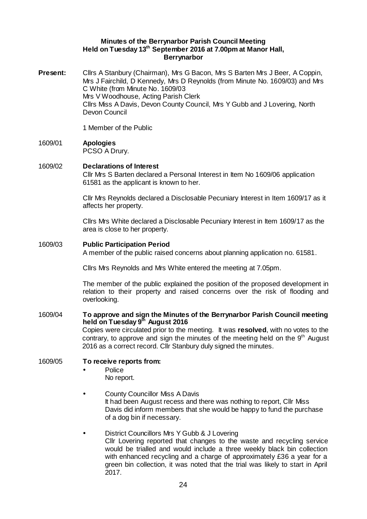### **Minutes of the Berrynarbor Parish Council Meeting Held on Tuesday 13th September 2016 at 7.00pm at Manor Hall, Berrynarbor**

**Present:** Cllrs A Stanbury (Chairman), Mrs G Bacon, Mrs S Barten Mrs J Beer, A Coppin, Mrs J Fairchild, D Kennedy, Mrs D Reynolds (from Minute No. 1609/03) and Mrs C White (from Minute No. 1609/03 Mrs V Woodhouse, Acting Parish Clerk Cllrs Miss A Davis, Devon County Council, Mrs Y Gubb and J Lovering, North Devon Council

1 Member of the Public

1609/01 **Apologies**  PCSO A Drury.

# 1609/02 **Declarations of Interest**

Cllr Mrs S Barten declared a Personal Interest in Item No 1609/06 application 61581 as the applicant is known to her.

Cllr Mrs Reynolds declared a Disclosable Pecuniary Interest in Item 1609/17 as it affects her property.

Cllrs Mrs White declared a Disclosable Pecuniary Interest in Item 1609/17 as the area is close to her property.

#### 1609/03 **Public Participation Period**

A member of the public raised concerns about planning application no. 61581.

Cllrs Mrs Reynolds and Mrs White entered the meeting at 7.05pm.

The member of the public explained the position of the proposed development in relation to their property and raised concerns over the risk of flooding and overlooking.

# 1609/04 **To approve and sign the Minutes of the Berrynarbor Parish Council meeting held on Tuesday 9th August 2016**  Copies were circulated prior to the meeting. It was **resolved**, with no votes to the contrary, to approve and sign the minutes of the meeting held on the  $9<sup>th</sup>$  August

2016 as a correct record. Cllr Stanbury duly signed the minutes.

## 1609/05 **To receive reports from:**

- Police
	- No report.
- County Councillor Miss A Davis It had been August recess and there was nothing to report, Cllr Miss Davis did inform members that she would be happy to fund the purchase of a dog bin if necessary.
- District Councillors Mrs Y Gubb & J Lovering Cllr Lovering reported that changes to the waste and recycling service would be trialled and would include a three weekly black bin collection with enhanced recycling and a charge of approximately £36 a year for a green bin collection, it was noted that the trial was likely to start in April 2017.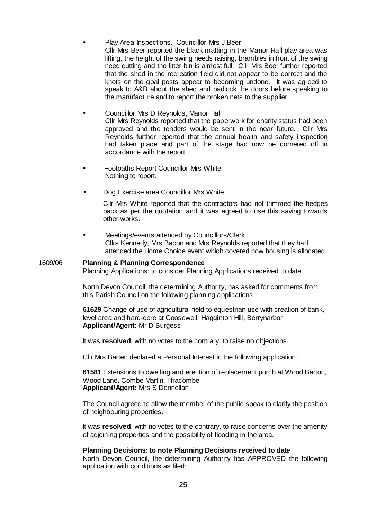- Play Area Inspections. Councillor Mrs J Beer Cllr Mrs Beer reported the black matting in the Manor Hall play area was lifting, the height of the swing needs raising, brambles in front of the swing need cutting and the litter bin is almost full. Cllr Mrs Beer further reported that the shed in the recreation field did not appear to be correct and the knots on the goal posts appear to becoming undone. It was agreed to speak to A&B about the shed and padlock the doors before speaking to the manufacture and to report the broken nets to the supplier.
- Councillor Mrs D Reynolds, Manor Hall Cllr Mrs Reynolds reported that the paperwork for charity status had been approved and the tenders would be sent in the near future. Cllr Mrs Reynolds further reported that the annual health and safety inspection had taken place and part of the stage had now be cornered off in accordance with the report.
- Footpaths Report Councillor Mrs White Nothing to report.
- Dog Exercise area Councillor Mrs White

Cllr Mrs White reported that the contractors had not trimmed the hedges back as per the quotation and it was agreed to use this saving towards other works.

Meetings/events attended by Councillors/Clerk Cllrs Kennedy, Mrs Bacon and Mrs Reynolds reported that they had attended the Home Choice event which covered how housing is allocated.

#### 1609/06 **Planning & Planning Correspondence**

Planning Applications: to consider Planning Applications received to date

North Devon Council, the determining Authority, has asked for comments from this Parish Council on the following planning applications

**61629** Change of use of agricultural field to equestrian use with creation of bank, level area and hard-core at Goosewell, Hagginton Hill, Berrynarbor **Applicant/Agent:** Mr D Burgess

It was **resolved**, with no votes to the contrary, to raise no objections.

Cllr Mrs Barten declared a Personal Interest in the following application.

**61581** Extensions to dwelling and erection of replacement porch at Wood Barton, Wood Lane, Combe Martin, Ilfracombe **Applicant/Agent:** Mrs S Donnellan

The Council agreed to allow the member of the public speak to clarify the position of neighbouring properties.

It was **resolved**, with no votes to the contrary, to raise concerns over the amenity of adjoining properties and the possibility of flooding in the area.

# **Planning Decisions: to note Planning Decisions received to date**

North Devon Council, the determining Authority has APPROVED the following application with conditions as filed: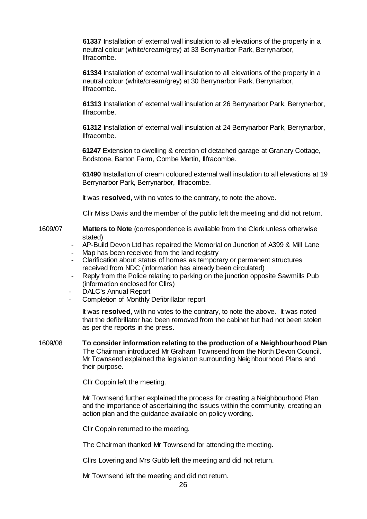**61337** Installation of external wall insulation to all elevations of the property in a neutral colour (white/cream/grey) at 33 Berrynarbor Park, Berrynarbor, Ilfracombe.

**61334** Installation of external wall insulation to all elevations of the property in a neutral colour (white/cream/grey) at 30 Berrynarbor Park, Berrynarbor, Ilfracombe.

**61313** Installation of external wall insulation at 26 Berrynarbor Park, Berrynarbor, Ilfracombe.

**61312** Installation of external wall insulation at 24 Berrynarbor Park, Berrynarbor, Ilfracombe.

**61247** Extension to dwelling & erection of detached garage at Granary Cottage, Bodstone, Barton Farm, Combe Martin, Ilfracombe.

**61490** Installation of cream coloured external wall insulation to all elevations at 19 Berrynarbor Park, Berrynarbor, Ilfracombe.

It was **resolved**, with no votes to the contrary, to note the above.

Cllr Miss Davis and the member of the public left the meeting and did not return.

- 1609/07 **Matters to Note** (correspondence is available from the Clerk unless otherwise stated)
	- AP-Build Devon Ltd has repaired the Memorial on Junction of A399 & Mill Lane
	- Map has been received from the land registry
	- Clarification about status of homes as temporary or permanent structures received from NDC (information has already been circulated)
	- Reply from the Police relating to parking on the junction opposite Sawmills Pub (information enclosed for Cllrs)
	- DALC's Annual Report
	- Completion of Monthly Defibrillator report

It was **resolved**, with no votes to the contrary, to note the above. It was noted that the defibrillator had been removed from the cabinet but had not been stolen as per the reports in the press.

1609/08 **To consider information relating to the production of a Neighbourhood Plan** The Chairman introduced Mr Graham Townsend from the North Devon Council. Mr Townsend explained the legislation surrounding Neighbourhood Plans and their purpose.

Cllr Coppin left the meeting.

Mr Townsend further explained the process for creating a Neighbourhood Plan and the importance of ascertaining the issues within the community, creating an action plan and the guidance available on policy wording.

Cllr Coppin returned to the meeting.

The Chairman thanked Mr Townsend for attending the meeting.

Cllrs Lovering and Mrs Gubb left the meeting and did not return.

Mr Townsend left the meeting and did not return.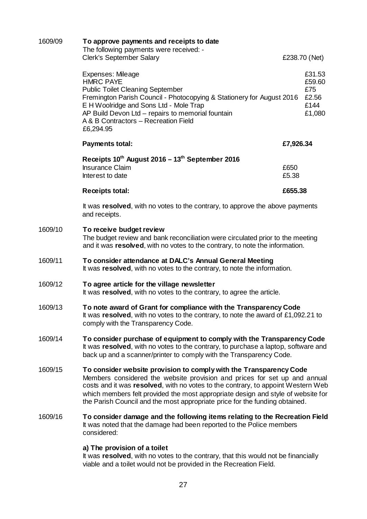| 1609/09 | To approve payments and receipts to date<br>The following payments were received: -<br><b>Clerk's September Salary</b><br>£238.70 (Net)                                                                                                                                                                                                                                                                |               |                                                    |  |
|---------|--------------------------------------------------------------------------------------------------------------------------------------------------------------------------------------------------------------------------------------------------------------------------------------------------------------------------------------------------------------------------------------------------------|---------------|----------------------------------------------------|--|
|         | Expenses: Mileage<br><b>HMRC PAYE</b><br><b>Public Toilet Cleaning September</b><br>Fremington Parish Council - Photocopying & Stationery for August 2016<br>E H Woolridge and Sons Ltd - Mole Trap<br>AP Build Devon Ltd - repairs to memorial fountain<br>A & B Contractors - Recreation Field<br>£6,294.95                                                                                          |               | £31.53<br>£59.60<br>£75<br>£2.56<br>£144<br>£1,080 |  |
|         | <b>Payments total:</b>                                                                                                                                                                                                                                                                                                                                                                                 | £7,926.34     |                                                    |  |
|         | Receipts 10th August 2016 - 13th September 2016<br><b>Insurance Claim</b><br>Interest to date                                                                                                                                                                                                                                                                                                          | £650<br>£5.38 |                                                    |  |
|         | <b>Receipts total:</b>                                                                                                                                                                                                                                                                                                                                                                                 | £655.38       |                                                    |  |
|         | It was resolved, with no votes to the contrary, to approve the above payments<br>and receipts.                                                                                                                                                                                                                                                                                                         |               |                                                    |  |
| 1609/10 | To receive budget review<br>The budget review and bank reconciliation were circulated prior to the meeting<br>and it was resolved, with no votes to the contrary, to note the information.                                                                                                                                                                                                             |               |                                                    |  |
| 1609/11 | To consider attendance at DALC's Annual General Meeting<br>It was resolved, with no votes to the contrary, to note the information.                                                                                                                                                                                                                                                                    |               |                                                    |  |
| 1609/12 | To agree article for the village newsletter<br>It was resolved, with no votes to the contrary, to agree the article.                                                                                                                                                                                                                                                                                   |               |                                                    |  |
| 1609/13 | To note award of Grant for compliance with the Transparency Code<br>It was resolved, with no votes to the contrary, to note the award of £1,092.21 to<br>comply with the Transparency Code.                                                                                                                                                                                                            |               |                                                    |  |
| 1609/14 | To consider purchase of equipment to comply with the Transparency Code<br>It was resolved, with no votes to the contrary, to purchase a laptop, software and<br>back up and a scanner/printer to comply with the Transparency Code.                                                                                                                                                                    |               |                                                    |  |
| 1609/15 | To consider website provision to comply with the Transparency Code<br>Members considered the website provision and prices for set up and annual<br>costs and it was resolved, with no votes to the contrary, to appoint Western Web<br>which members felt provided the most appropriate design and style of website for<br>the Parish Council and the most appropriate price for the funding obtained. |               |                                                    |  |
| 1609/16 | To consider damage and the following items relating to the Recreation Field<br>It was noted that the damage had been reported to the Police members<br>considered:                                                                                                                                                                                                                                     |               |                                                    |  |
|         | a) The provision of a toilet<br>It was resolved with no votes to the contrary that this would not be financially                                                                                                                                                                                                                                                                                       |               |                                                    |  |

It was **resolved**, with no votes to the contrary, that this would not be financially viable and a toilet would not be provided in the Recreation Field.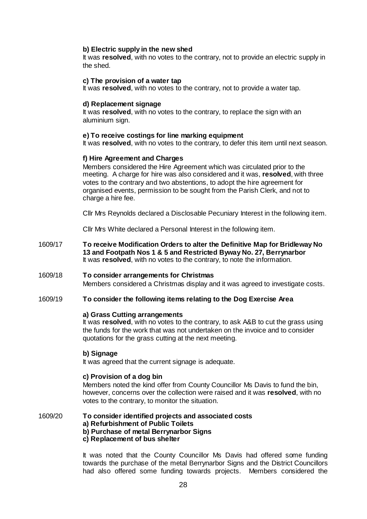## **b) Electric supply in the new shed**

It was **resolved**, with no votes to the contrary, not to provide an electric supply in the shed.

#### **c) The provision of a water tap**

It was **resolved**, with no votes to the contrary, not to provide a water tap.

#### **d) Replacement signage**

It was **resolved**, with no votes to the contrary, to replace the sign with an aluminium sign.

### **e) To receive costings for line marking equipment**

It was **resolved**, with no votes to the contrary, to defer this item until next season.

## **f) Hire Agreement and Charges**

Members considered the Hire Agreement which was circulated prior to the meeting. A charge for hire was also considered and it was, **resolved**, with three votes to the contrary and two abstentions, to adopt the hire agreement for organised events, permission to be sought from the Parish Clerk, and not to charge a hire fee.

Cllr Mrs Reynolds declared a Disclosable Pecuniary Interest in the following item.

Cllr Mrs White declared a Personal Interest in the following item.

- 1609/17 **To receive Modification Orders to alter the Definitive Map for Bridleway No 13 and Footpath Nos 1 & 5 and Restricted Byway No. 27, Berrynarbor** It was **resolved**, with no votes to the contrary, to note the information.
- 1609/18 **To consider arrangements for Christmas**  Members considered a Christmas display and it was agreed to investigate costs.

#### 1609/19 **To consider the following items relating to the Dog Exercise Area**

#### **a) Grass Cutting arrangements**

It was **resolved**, with no votes to the contrary, to ask A&B to cut the grass using the funds for the work that was not undertaken on the invoice and to consider quotations for the grass cutting at the next meeting.

### **b) Signage**

It was agreed that the current signage is adequate.

### **c) Provision of a dog bin**

Members noted the kind offer from County Councillor Ms Davis to fund the bin, however, concerns over the collection were raised and it was **resolved**, with no votes to the contrary, to monitor the situation.

1609/20 **To consider identified projects and associated costs a) Refurbishment of Public Toilets b) Purchase of metal Berrynarbor Signs c) Replacement of bus shelter** 

> It was noted that the County Councillor Ms Davis had offered some funding towards the purchase of the metal Berrynarbor Signs and the District Councillors had also offered some funding towards projects. Members considered the